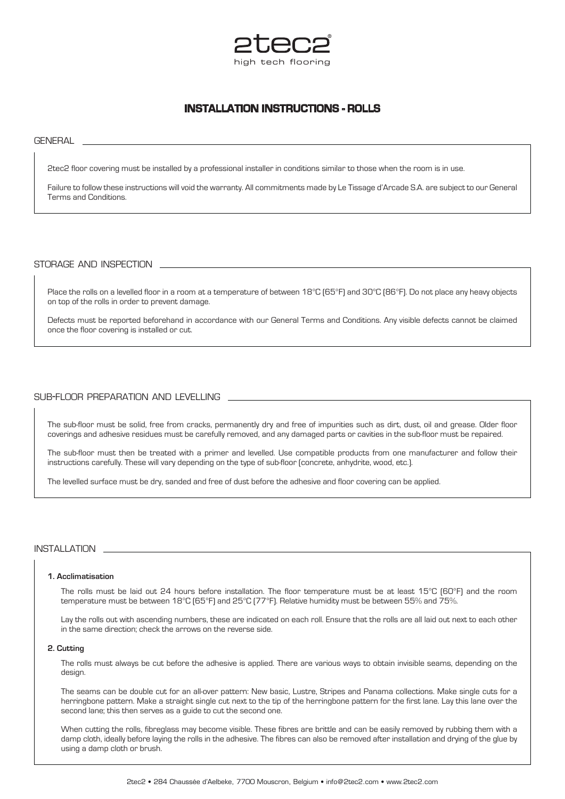

# **INSTALLATION INSTRUCTIONS - ROLLS**

**GENERAL** 

2tec2 floor covering must be installed by a professional installer in conditions similar to those when the room is in use.

Failure to follow these instructions will void the warranty. All commitments made by Le Tissage d'Arcade S.A. are subject to our General Terms and Conditions.

## storage and inspection

Place the rolls on a levelled floor in a room at a temperature of between 18°C (65°F) and 30°C (86°F). Do not place any heavy objects on top of the rolls in order to prevent damage.

Defects must be reported beforehand in accordance with our General Terms and Conditions. Any visible defects cannot be claimed once the floor covering is installed or cut.

## sub-floor preparation and levelling

The sub-floor must be solid, free from cracks, permanently dry and free of impurities such as dirt, dust, oil and grease. Older floor coverings and adhesive residues must be carefully removed, and any damaged parts or cavities in the sub-floor must be repaired.

The sub-floor must then be treated with a primer and levelled. Use compatible products from one manufacturer and follow their instructions carefully. These will vary depending on the type of sub-floor (concrete, anhydrite, wood, etc.).

The levelled surface must be dry, sanded and free of dust before the adhesive and floor covering can be applied.

# installation

### **1. Acclimatisation**

The rolls must be laid out 24 hours before installation. The floor temperature must be at least 15°C (60°F) and the room temperature must be between 18°C (65°F) and 25°C (77°F). Relative humidity must be between 55% and 75%.

Lay the rolls out with ascending numbers, these are indicated on each roll. Ensure that the rolls are all laid out next to each other in the same direction; check the arrows on the reverse side.

#### **2. Cutting**

The rolls must always be cut before the adhesive is applied. There are various ways to obtain invisible seams, depending on the design.

The seams can be double cut for an all-over pattern: New basic, Lustre, Stripes and Panama collections. Make single cuts for a herringbone pattern. Make a straight single cut next to the tip of the herringbone pattern for the first lane. Lay this lane over the second lane; this then serves as a guide to cut the second one.

When cutting the rolls, fibreglass may become visible. These fibres are brittle and can be easily removed by rubbing them with a damp cloth, ideally before laying the rolls in the adhesive. The fibres can also be removed after installation and drying of the glue by using a damp cloth or brush.